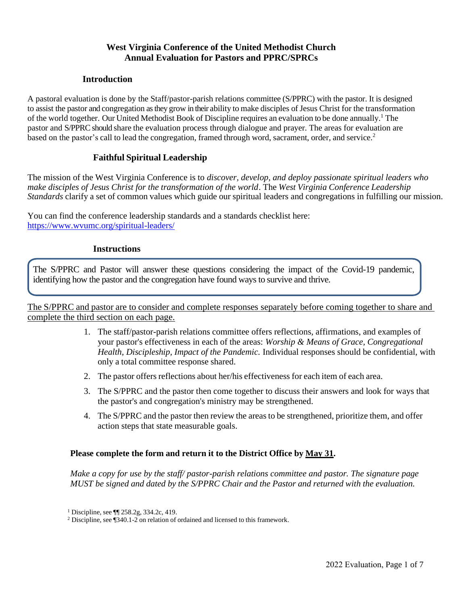### **West Virginia Conference of the United Methodist Church Annual Evaluation for Pastors and PPRC/SPRCs**

#### **Introduction**

A pastoral evaluation is done by the Staff/pastor-parish relations committee (S/PPRC) with the pastor. It is designed to assist the pastor and congregation as they grow in their ability to make disciples of Jesus Christ for the transformation of the world together. Our United Methodist Book of Discipline requires an evaluation to be done annually.<sup>1</sup> The pastor and S/PPRC should share the evaluation process through dialogue and prayer. The areas for evaluation are based on the pastor's call to lead the congregation, framed through word, sacrament, order, and service.<sup>2</sup>

#### **Faithful Spiritual Leadership**

The mission of the West Virginia Conference is to *discover, develop, and deploy passionate spiritual leaders who make disciples of Jesus Christ for the transformation of the world*. The *West Virginia Conference Leadership Standards* clarify a set of common values which guide our spiritual leaders and congregations in fulfilling our mission.

You can find the conference leadership standards and a standards checklist here: <https://www.wvumc.org/spiritual-leaders/>

#### **Instructions**

The S/PPRC and Pastor will answer these questions considering the impact of the Covid-19 pandemic, identifying how the pastor and the congregation have found ways to survive and thrive.

The S/PPRC and pastor are to consider and complete responses separately before coming together to share and complete the third section on each page.

- 1. The staff/pastor-parish relations committee offers reflections, affirmations, and examples of your pastor's effectiveness in each of the areas: *Worship & Means of Grace, Congregational Health, Discipleship, Impact of the Pandemic.* Individual responses should be confidential, with only a total committee response shared.
- 2. The pastor offers reflections about her/his effectiveness for each item of each area.
- 3. The S/PPRC and the pastor then come together to discuss their answers and look for ways that the pastor's and congregation's ministry may be strengthened.
- 4. The S/PPRC and the pastor then review the areasto be strengthened, prioritize them, and offer action steps that state measurable goals.

#### **Please complete the form and return it to the District Office by May 31.**

*Make a copy for use by the staff/ pastor-parish relations committee and pastor. The signature page MUST be signed and dated by the S/PPRC Chair and the Pastor and returned with the evaluation.*

<sup>1</sup> Discipline, see ¶¶ 258.2g, 334.2c, 419.

<sup>2</sup> Discipline, see ¶340.1-2 on relation of ordained and licensed to this framework.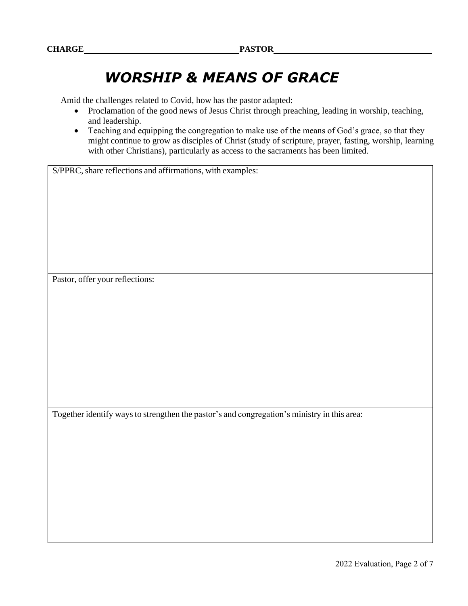## *WORSHIP & MEANS OF GRACE*

Amid the challenges related to Covid, how has the pastor adapted:

- Proclamation of the good news of Jesus Christ through preaching, leading in worship, teaching, and leadership.
- Teaching and equipping the congregation to make use of the means of God's grace, so that they might continue to grow as disciples of Christ (study of scripture, prayer, fasting, worship, learning with other Christians), particularly as access to the sacraments has been limited.

S/PPRC, share reflections and affirmations, with examples:

Pastor, offer your reflections:

Together identify ways to strengthen the pastor's and congregation's ministry in this area: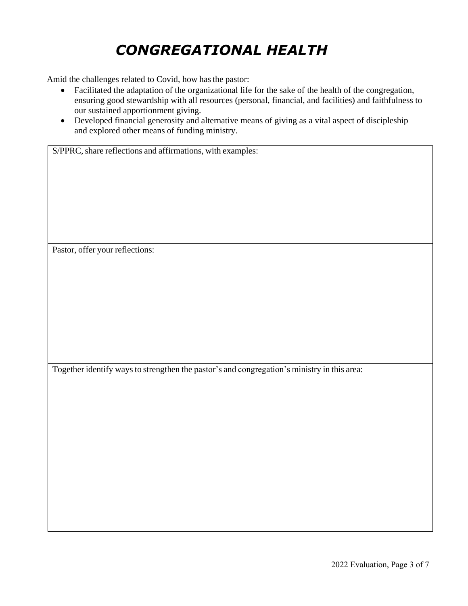# *CONGREGATIONAL HEALTH*

Amid the challenges related to Covid, how has the pastor:

- Facilitated the adaptation of the organizational life for the sake of the health of the congregation, ensuring good stewardship with all resources (personal, financial, and facilities) and faithfulness to our sustained apportionment giving.
- Developed financial generosity and alternative means of giving as a vital aspect of discipleship and explored other means of funding ministry.

S/PPRC, share reflections and affirmations, with examples:

Pastor, offer your reflections:

Together identify ways to strengthen the pastor's and congregation's ministry in this area: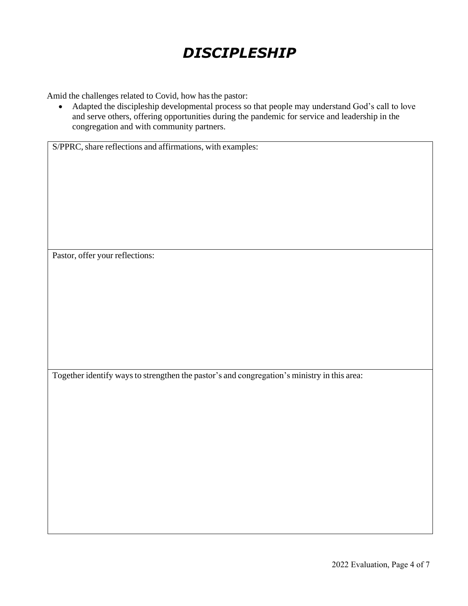# *DISCIPLESHIP*

Amid the challenges related to Covid, how has the pastor:

• Adapted the discipleship developmental process so that people may understand God's call to love and serve others, offering opportunities during the pandemic for service and leadership in the congregation and with community partners.

S/PPRC, share reflections and affirmations, with examples:

Pastor, offer your reflections:

Together identify waysto strengthen the pastor's and congregation's ministry in this area: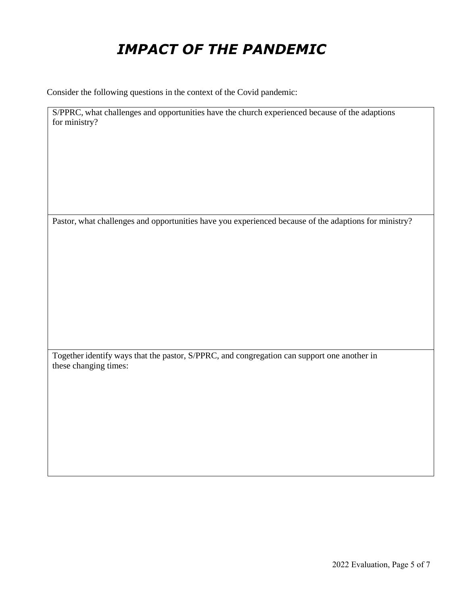# *IMPACT OF THE PANDEMIC*

Consider the following questions in the context of the Covid pandemic:

S/PPRC, what challenges and opportunities have the church experienced because of the adaptions for ministry?

Pastor, what challenges and opportunities have you experienced because of the adaptions for ministry?

Together identify ways that the pastor, S/PPRC, and congregation can support one another in these changing times: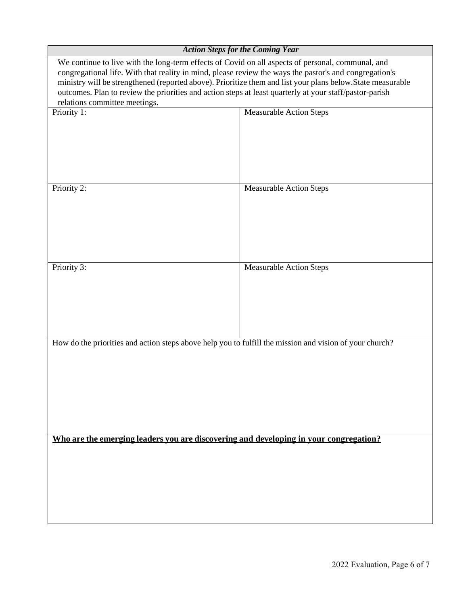|                                                                                                                                                                                                                                                                                                                                                                                                                                                                        | <b>Action Steps for the Coming Year</b> |  |
|------------------------------------------------------------------------------------------------------------------------------------------------------------------------------------------------------------------------------------------------------------------------------------------------------------------------------------------------------------------------------------------------------------------------------------------------------------------------|-----------------------------------------|--|
| We continue to live with the long-term effects of Covid on all aspects of personal, communal, and<br>congregational life. With that reality in mind, please review the ways the pastor's and congregation's<br>ministry will be strengthened (reported above). Prioritize them and list your plans below. State measurable<br>outcomes. Plan to review the priorities and action steps at least quarterly at your staff/pastor-parish<br>relations committee meetings. |                                         |  |
| Priority 1:                                                                                                                                                                                                                                                                                                                                                                                                                                                            | <b>Measurable Action Steps</b>          |  |
|                                                                                                                                                                                                                                                                                                                                                                                                                                                                        |                                         |  |
| Priority 2:                                                                                                                                                                                                                                                                                                                                                                                                                                                            | <b>Measurable Action Steps</b>          |  |
| Priority $3$ :                                                                                                                                                                                                                                                                                                                                                                                                                                                         | <b>Measurable Action Steps</b>          |  |
| How do the priorities and action steps above help you to fulfill the mission and vision of your church?                                                                                                                                                                                                                                                                                                                                                                |                                         |  |
| Who are the emerging leaders you are discovering and developing in your congregation?                                                                                                                                                                                                                                                                                                                                                                                  |                                         |  |